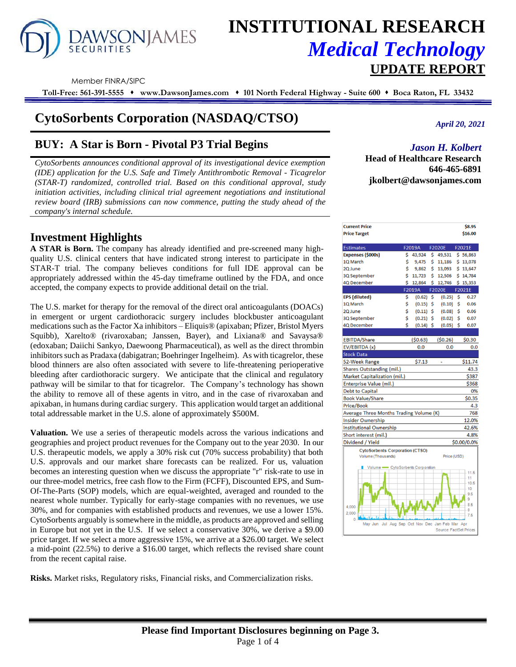# **AWSONJAMES**

## **INSTITUTIONAL RESEARCH** *Medical Technology*  **UPDATE REPORT**

Member FINRA/SIPC

**Toll-Free: 561-391-5555** ⬧ **www.DawsonJames.com** ⬧ **101 North Federal Highway - Suite 600** ⬧ **Boca Raton, FL 33432**

## **CytoSorbents Corporation (NASDAQ/CTSO)**

## **BUY: A Star is Born - Pivotal P3 Trial Begins**

*CytoSorbents announces conditional approval of its investigational device exemption (IDE) application for the U.S. Safe and Timely Antithrombotic Removal - Ticagrelor (STAR-T) randomized, controlled trial. Based on this conditional approval, study initiation activities, including clinical trial agreement negotiations and institutional review board (IRB) submissions can now commence, putting the study ahead of the company's internal schedule.*

### **Investment Highlights**

**A STAR is Born.** The company has already identified and pre-screened many highquality U.S. clinical centers that have indicated strong interest to participate in the STAR-T trial. The company believes conditions for full IDE approval can be appropriately addressed within the 45-day timeframe outlined by the FDA, and once accepted, the company expects to provide additional detail on the trial.

The U.S. market for therapy for the removal of the direct oral anticoagulants (DOACs) in emergent or urgent cardiothoracic surgery includes blockbuster anticoagulant medications such as the Factor Xa inhibitors – Eliquis® (apixaban; Pfizer, Bristol Myers Squibb), Xarelto® (rivaroxaban; Janssen, Bayer), and Lixiana® and Savaysa® (edoxaban; Daiichi Sankyo, Daewoong Pharmaceutical), as well as the direct thrombin inhibitors such as Pradaxa (dabigatran; Boehringer Ingelheim). As with ticagrelor, these blood thinners are also often associated with severe to life-threatening perioperative bleeding after cardiothoracic surgery. We anticipate that the clinical and regulatory pathway will be similar to that for ticagrelor. The Company's technology has shown the ability to remove all of these agents in vitro, and in the case of rivaroxaban and apixaban, in humans during cardiac surgery. This application would target an additional total addressable market in the U.S. alone of approximately \$500M.

**Valuation.** We use a series of therapeutic models across the various indications and geographies and project product revenues for the Company out to the year 2030. In our U.S. therapeutic models, we apply a 30% risk cut (70% success probability) that both U.S. approvals and our market share forecasts can be realized. For us, valuation becomes an interesting question when we discuss the appropriate "r" risk-rate to use in our three-model metrics, free cash flow to the Firm (FCFF), Discounted EPS, and Sum-Of-The-Parts (SOP) models, which are equal-weighted, averaged and rounded to the nearest whole number. Typically for early-stage companies with no revenues, we use 30%, and for companies with established products and revenues, we use a lower 15%. CytoSorbents arguably is somewhere in the middle, as products are approved and selling in Europe but not yet in the U.S. If we select a conservative 30%, we derive a \$9.00 price target. If we select a more aggressive 15%, we arrive at a \$26.00 target. We select a mid-point (22.5%) to derive a \$16.00 target, which reflects the revised share count from the recent capital raise.

**Risks.** Market risks, Regulatory risks, Financial risks, and Commercialization risks.

*April 20, 2021*

#### *Jason H. Kolbert*

**Head of Healthcare Research 646-465-6891 jkolbert@dawsonjames.com**

| <b>Current Price</b>                                                                                                   |    |             |    |               |    | \$8.95                         |  |  |  |
|------------------------------------------------------------------------------------------------------------------------|----|-------------|----|---------------|----|--------------------------------|--|--|--|
| <b>Price Target</b>                                                                                                    |    |             |    |               |    | \$16.00                        |  |  |  |
| <b>Estimates</b>                                                                                                       |    | F2019A      |    | <b>F2020E</b> |    | F2021E                         |  |  |  |
| Expenses (\$000s)                                                                                                      | Ś  | 43,924      | Ś  | 49,531        |    | \$56,863                       |  |  |  |
| 1Q March                                                                                                               | \$ | 9,475       | \$ | 11,186        |    | \$13,078                       |  |  |  |
| 2Q June                                                                                                                | \$ | 9,862       | \$ | 13,093        |    | \$13,647                       |  |  |  |
| 3Q September                                                                                                           | Ś  | 11,723      | Ś  | 12,506        |    | \$14,784                       |  |  |  |
| 4Q December                                                                                                            | Ś  | 12,864      | Š. | 12,746        |    | \$15,353                       |  |  |  |
|                                                                                                                        |    | F2019A      |    | <b>F2020E</b> |    | F2021E                         |  |  |  |
| <b>EPS</b> (diluted)                                                                                                   | Ś  | (0.62)      | Ś  | (0.25)        | Ś  | 0.27                           |  |  |  |
| 1Q March                                                                                                               | \$ | (0.15)      | \$ | (0.10)        | \$ | 0.06                           |  |  |  |
| \$<br>\$<br>2Q June<br>(0.11)<br>\$<br>(0.08)<br>0.06                                                                  |    |             |    |               |    |                                |  |  |  |
| \$<br>\$<br>\$<br>3Q September<br>(0.21)<br>(0.02)                                                                     |    |             |    |               |    |                                |  |  |  |
| 4Q December                                                                                                            | Ś  | $(0.14)$ \$ |    | (0.05)        | \$ | 0.07                           |  |  |  |
|                                                                                                                        |    |             |    |               |    |                                |  |  |  |
| <b>EBITDA/Share</b>                                                                                                    |    | (50.63)     |    | (50.26)       |    | \$0.30                         |  |  |  |
| EV/EBITDA (x)                                                                                                          |    | 0.0         |    | 0.0           |    | 0.0                            |  |  |  |
| <b>Stock Data</b>                                                                                                      |    |             |    |               |    |                                |  |  |  |
| 52-Week Range                                                                                                          |    | \$7.13      |    |               |    | \$11.74                        |  |  |  |
| Shares Outstanding (mil.)                                                                                              |    |             |    |               |    | 43.3                           |  |  |  |
| Market Capitalization (mil.)                                                                                           |    |             |    |               |    | \$387                          |  |  |  |
| Enterprise Value (mil.)                                                                                                |    |             |    |               |    | \$368                          |  |  |  |
| Debt to Capital                                                                                                        |    |             |    |               |    | 0%                             |  |  |  |
| <b>Book Value/Share</b>                                                                                                |    |             |    |               |    | \$0.35                         |  |  |  |
| Price/Book                                                                                                             |    |             |    |               |    | 4.3                            |  |  |  |
| Average Three Months Trading Volume (K)                                                                                |    |             |    |               |    | 768                            |  |  |  |
| <b>Insider Ownership</b>                                                                                               |    |             |    |               |    | 12.0%                          |  |  |  |
| Institutional Ownership<br>42.6%                                                                                       |    |             |    |               |    |                                |  |  |  |
|                                                                                                                        |    |             |    |               |    | 4.8%                           |  |  |  |
| Dividend / Yield                                                                                                       |    |             |    |               |    | \$0.00/0.0%                    |  |  |  |
|                                                                                                                        |    |             |    |               |    |                                |  |  |  |
| Volume (Thousands)                                                                                                     |    |             |    | Price (USD)   |    |                                |  |  |  |
|                                                                                                                        |    |             |    |               |    |                                |  |  |  |
|                                                                                                                        |    |             |    |               |    |                                |  |  |  |
|                                                                                                                        |    |             |    |               |    | 11                             |  |  |  |
|                                                                                                                        |    |             |    |               |    |                                |  |  |  |
|                                                                                                                        |    |             |    |               |    | 9.5                            |  |  |  |
|                                                                                                                        |    |             |    |               |    | 9                              |  |  |  |
| 4,000.                                                                                                                 |    |             |    |               |    |                                |  |  |  |
| 2,000<br>7.5                                                                                                           |    |             |    |               |    |                                |  |  |  |
| 0                                                                                                                      |    |             |    |               |    |                                |  |  |  |
| Aug Sep Oct Nov Dec Jan Feb Mar Apr<br>Source: FactSet Prices                                                          |    |             |    |               |    |                                |  |  |  |
| Short interest (mil.)<br><b>CytoSorbents Corporation (CTSO)</b><br>Volume - CytoSorbents Corporation<br>Jul<br>May Jun |    |             |    |               |    | 11.5<br>10.5<br>10<br>8.5<br>8 |  |  |  |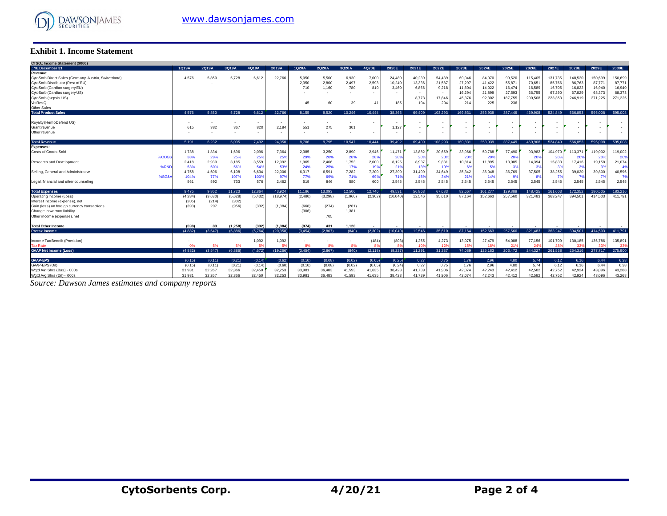

#### **Exhibit 1. Income Statement**

| CTSO.: Income Statement (\$000)                       |          |         |          |          |           |          |         |                 |                |          |                          |                 |         |         |                 |         |         |                 |         |         |
|-------------------------------------------------------|----------|---------|----------|----------|-----------|----------|---------|-----------------|----------------|----------|--------------------------|-----------------|---------|---------|-----------------|---------|---------|-----------------|---------|---------|
| .: YE December 31                                     | 1Q19A    | 2Q19A   | 3Q19A    | 4Q19A    | 2019A     | 1Q20A    | 2Q20A   | 3Q20A           | 4Q20E          | 2020E    | 2021E                    | 2022E           | 2023E   | 2024E   | 2025E           | 2026E   | 2027E   | 2028E           | 2029E   | 2030E   |
| Revenue:                                              |          |         |          |          |           |          |         |                 |                |          |                          |                 |         |         |                 |         |         |                 |         |         |
| CytoSorb Direct Sales (Germany, Austria, Switzerland) | 4,576    | 5,850   | 5,728    | 6,612    | 22,766    | 5,050    | 5,500   | 6,930           | 7,000          | 24,480   | 40,239                   | 54,439          | 69,046  | 84,070  | 99,520          | 115,405 | 131,735 | 148,520         | 150,699 | 150,699 |
| CytoSorb Distributor (Rest of EU)                     |          |         |          |          |           | 2,350    | 2,800   | 2,497           | 2,593          | 10,240   | 13,336                   | 21,587          | 27,297  | 41,422  | 55,87           | 70,651  | 85,766  | 86,763          | 87,771  | 87,771  |
| CytoSorb (Cardiac surgery EU)                         |          |         |          |          |           | 710      | 1,160   | 780             | 810            | 3,460    | 6,866                    | 9,218           | 11,604  | 14,022  | 16,474          | 16,589  | 16,705  | 16,822          | 16,940  | 16,940  |
| CytoSorb (Cardiac surgery US)                         |          |         |          |          |           |          |         |                 |                |          | $\sim$                   | $\sim$          | 16,294  | 21,899  | 27,593          | 66,755  | 67,290  | 67,829          | 68,373  | 68,373  |
| CytoSorb (sepsis US)                                  |          |         |          |          |           |          |         |                 |                |          | 8,773                    | 17,846          | 45,376  | 92,302  | 187,755         | 200,508 | 223,353 | 246,919         | 271,225 | 271,225 |
| VetResQ                                               |          |         |          |          |           | 45       | 60      | 39              | 41             | 185      | 194                      | 204             | 214     | 225     | 236             |         |         |                 |         |         |
| Other Sales                                           |          |         |          |          |           |          |         |                 |                |          |                          |                 |         |         |                 |         |         |                 |         |         |
| <b>Total Product Sales</b>                            | 4.576    | 5.850   | 5.728    | 6.612    | 22.766    | 8.155    | 9.520   | 10.246          | 10.444         | 38.365   | 69.409                   | 103.293         | 169.831 | 253.939 | 387.449         | 469.908 | 524.849 | 566.853         | 595.008 | 595,008 |
|                                                       |          |         |          |          |           |          |         |                 |                |          |                          |                 |         |         |                 |         |         |                 |         |         |
| Royalty (HemoDefend US)                               |          |         |          | ٠        |           |          |         |                 |                |          | ٠.                       | ٠               |         |         |                 |         |         |                 |         |         |
| Grant revenue                                         | 615      | 382     | 367      | 820      | 2,184     | 551      | 275     | 30 <sup>°</sup> |                | 1,127    |                          |                 |         |         |                 |         |         |                 |         |         |
| Other revenue                                         |          |         |          | ٠        |           |          |         |                 |                |          | $\overline{\phantom{a}}$ | ۰.              |         |         |                 |         |         |                 |         |         |
|                                                       |          |         |          |          |           |          |         |                 |                |          |                          |                 |         |         |                 |         |         |                 |         |         |
| <b>Total Revenue</b>                                  | 5.191    | 6.232   | 6.095    | 7.432    | 24.950    | 8.706    | 9.795   | 10.547          | 10.444         | 39.492   | 69.409                   | 103.293         | 169.831 | 253.939 | 387.449         | 469,908 | 524.849 | 566.853         | 595,008 | 595,008 |
| <b>Expenses:</b>                                      |          |         |          |          |           |          |         |                 |                |          |                          |                 |         |         |                 |         |         |                 |         |         |
| Costs of Goods Sold                                   | 1,738    | 1,834   | 1,696    | 2,096    | 7,364     | 2,385    | 3,250   | 2,890           | 2,946          | 11,471   | 13,882                   | 20,659          | 33,966  | 50.788  | 77,490          | 93,982  | 104,970 | 113,371         | 119,002 | 119,002 |
| %COG                                                  | 38%      | 29%     | 25%      | 25%      | 25%       | 29%      | 20%     | 28%             | 28%            | 28%      | 20%                      | 20%             | 20%     | 20%     | 20%             | 20%     | 20%     | 20%             | 20%     | 20%     |
| <b>Research and Development</b>                       | 2.418    | 2,930   | 3,185    | 3,559    | 12,092    | 1,965    | 2.406   | 1,753           | 2,000          | 8,125    | 8,937                    | 9,831           | 10,814  | 11,895  | 13,085          | 14,394  | 15,833  | 17,416          | 19.158  | 21,074  |
| %RR                                                   | 53%      | 50%     | 56%      | 54%      | 53%       | 24%      | 25%     | 17%             | 19%            | 219      | 13%                      | 10%             | 6%      | 5%      | 3%              | 3%      | 3%      | 3%              | 33      | 4%      |
| Selling, General and Administrative                   | 4,758    | 4,506   | 6,108    | 6,634    | 22,006    | 6,317    | 6,591   | 7,282           | 7,200          | 27,390   | 31,499                   | 34,649          | 35,342  | 36,048  | 36,769          | 37,505  | 38,255  | 39,020          | 39,800  | 40,596  |
| %SG&                                                  | 104%     | 77%     | 107%     | 100%     | 97%       | 77%      | 69%     | 71%             | 69%            | 719      | 45%                      | 34%             | 21%     | 14%     | 9%              |         |         | 7%              |         | 7%      |
| Legal, financial and other counseling                 | 561      | 592     | 733      | 576      | 2,462     | 519      | 846     | 580             | 600            | 2.545    | 2,545                    | 2.545           | 2.545   | 2.545   | 2.545           | 2.545   | 2.545   | 2.545           | 2.545   | 2,545   |
|                                                       |          |         |          |          |           |          |         |                 |                |          |                          |                 |         |         |                 |         |         |                 |         |         |
| <b>Total Expenses</b>                                 | 9.475    | 9.862   | 11.723   | 12.864   | 43.924    | 11.186   | 13.093  | 12.506          | 12.746         | 49.531   | 56.863                   | 67.683          | 82.667  | 101.277 | 129,889         | 148,425 | 161.603 | 172.352         | 180.505 | 183.216 |
| Operating Income (Loss)                               | (4, 284) | (3,630) | (5,628)  | (5, 432) | (18, 974) | (2, 480) | (3,298) | (1,960)         | (2, 302)       | (10,040) | 12,546                   | 35,610          | 87.164  | 152,663 | 257,560         | 321,483 | 363,247 | 394,501         | 414,503 | 411,791 |
| Interest income (expense), net                        | (205)    | (214)   | (302)    |          |           |          |         |                 |                |          |                          |                 |         |         |                 |         |         |                 |         |         |
| Gain (loss) on foreign currency transactions          | (393)    | 297     | (956)    | (332)    | (1, 384)  | (668)    | (274)   | (261)           |                |          |                          |                 |         |         |                 |         |         |                 |         |         |
| Change in warrant liability                           |          |         |          |          |           | (306)    |         | 1,381           |                |          |                          |                 |         |         |                 |         |         |                 |         |         |
| Other income (expense), net                           |          |         |          |          |           |          | 705     |                 |                |          |                          |                 |         |         |                 |         |         |                 |         |         |
|                                                       |          |         |          |          |           |          |         |                 |                |          |                          |                 |         |         |                 |         |         |                 |         |         |
| <b>Total Other Income</b>                             | (598)    | 83      | (1, 258) | (332)    | (1, 384)  | (974)    | 431     | 1.120           |                |          |                          |                 |         |         |                 |         |         |                 |         |         |
| <b>Pretax Income</b>                                  | (4.882)  | (3.547) | (6.886)  | (5,764)  | (20.358)  | (3.454)  | (2.867) | (840)           | (2.302)        | (10,040) | 12.546                   | 35.610          | 87.164  | 152.663 | 257.560         | 321.483 | 363.247 | 394.501         | 414.503 | 411.791 |
|                                                       |          |         |          |          |           |          |         |                 |                |          |                          |                 |         |         |                 |         |         |                 |         |         |
| Income Tax Benefit (Provision)                        |          |         |          | 1,092    | 1,092     |          |         |                 | (184)          | (803)    | 1,255                    | 4,273           | 13,075  | 27,479  | 54,088          | 77.156  | 101,709 | 130.185         | 136,786 | 135,891 |
| <b>Tax Rate</b>                                       | 0%       | 5%      | 5%       |          | 59        | 8%       | 8%      | 8%              | 8 <sup>o</sup> | 83       | 10 <sup>6</sup>          | 12 <sup>5</sup> | 15%     | 18%     | 21 <sup>1</sup> |         | 28'     | 33 <sup>o</sup> |         | 339     |
| <b>GAAP Net Income (Loss)</b>                         | (4.882)  | (3.547) | (6.886)  | (4.672)  | (19.266)  | (3.454)  | (2.867) | (840)           | (2.118)        | (9.237)  | 11.291                   | 31.337          | 74.089  | 125.183 | 203.472         | 244.327 | 261.538 | 264.316         | 277,717 | 275,900 |
|                                                       |          |         |          |          |           |          |         |                 |                |          |                          |                 |         |         |                 |         |         |                 |         |         |
| <b>GAAP-EPS</b>                                       | (0.15)   | (0.11)  | (0.21)   | (0.14)   | (0.62)    | (0.10)   | (0.08)  | (0.02)          | (0.05)         | (0.25)   | 0.27                     | 0.75            | 1.76    | 2.96    | 4.80            | 5.74    | 6.12    | 6.16            | 6.44    | 6.38    |
| GAAP-EPS (Dil)                                        | (0.15)   | (0.11)  | (0.21)   | (0.14)   | (0.60)    | (0.10)   | (0.08)  | (0.02)          | (0.05)         | (0.24)   | 0.27                     | 0.75            | 1.76    | 2.96    | 4.80            | 5.74    | 6.12    | 6.16            | 6.44    | 6.38    |
| Wgtd Avg Shrs (Bas) - '000s                           | 31,931   | 32,267  | 32,366   | 32,450   | 32,253    | 33,981   | 36,483  | 41,593          | 41,635         | 38,423   | 41,739                   | 41,906          | 42,074  | 42,243  | 42,412          | 42,582  | 42,752  | 42,924          | 43.096  | 43,268  |
| Wgtd Avg Shrs (Dil) - '000s                           | 31.931   | 32.267  | 32.366   | 32.450   | 32.253    | 33,981   | 36.483  | 41.593          | 41.635         | 38.423   | 41.739                   | 41.906          | 42.074  | 42.243  | 42.412          | 42.582  | 42.752  | 42.924          | 43.096  | 43,268  |

*Source: Dawson James estimates and company reports*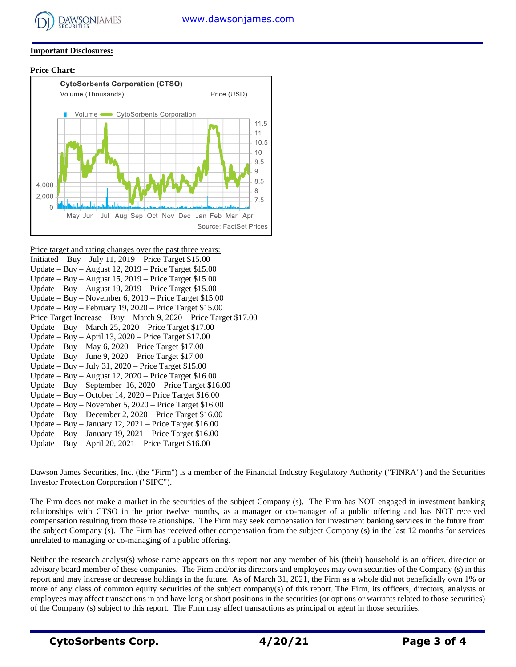

#### **Important Disclosures:**

#### **Price Chart:**



Price target and rating changes over the past three years: Initiated – Buy – July 11,  $2019$  – Price Target \$15.00 Update – Buy – August 12, 2019 – Price Target \$15.00 Update – Buy – August 15,  $2019$  – Price Target \$15.00 Update – Buy – August 19, 2019 – Price Target \$15.00 Update – Buy – November 6, 2019 – Price Target \$15.00 Update – Buy – February 19, 2020 – Price Target \$15.00 Price Target Increase – Buy – March 9, 2020 – Price Target \$17.00 Update – Buy – March 25, 2020 – Price Target \$17.00 Update – Buy – April 13, 2020 – Price Target \$17.00 Update – Buy – May 6, 2020 – Price Target \$17.00 Update – Buy – June 9, 2020 – Price Target \$17.00 Update – Buy – July 31, 2020 – Price Target \$15.00 Update – Buy – August 12, 2020 – Price Target \$16.00 Update – Buy – September 16, 2020 – Price Target \$16.00 Update – Buy – October 14, 2020 – Price Target \$16.00 Update – Buy – November 5, 2020 – Price Target \$16.00 Update – Buy – December 2, 2020 – Price Target \$16.00 Update – Buy – January 12,  $2021$  – Price Target \$16.00 Update – Buy – January 19, 2021 – Price Target  $$16.00$ Update – Buy – April 20, 2021 – Price Target \$16.00

Dawson James Securities, Inc. (the "Firm") is a member of the Financial Industry Regulatory Authority ("FINRA") and the Securities Investor Protection Corporation ("SIPC").

The Firm does not make a market in the securities of the subject Company (s). The Firm has NOT engaged in investment banking relationships with CTSO in the prior twelve months, as a manager or co-manager of a public offering and has NOT received compensation resulting from those relationships. The Firm may seek compensation for investment banking services in the future from the subject Company (s). The Firm has received other compensation from the subject Company (s) in the last 12 months for services unrelated to managing or co-managing of a public offering.

Neither the research analyst(s) whose name appears on this report nor any member of his (their) household is an officer, director or advisory board member of these companies. The Firm and/or its directors and employees may own securities of the Company (s) in this report and may increase or decrease holdings in the future. As of March 31, 2021, the Firm as a whole did not beneficially own 1% or more of any class of common equity securities of the subject company(s) of this report. The Firm, its officers, directors, analysts or employees may affect transactions in and have long or short positions in the securities (or options or warrants related to those securities) of the Company (s) subject to this report. The Firm may affect transactions as principal or agent in those securities.